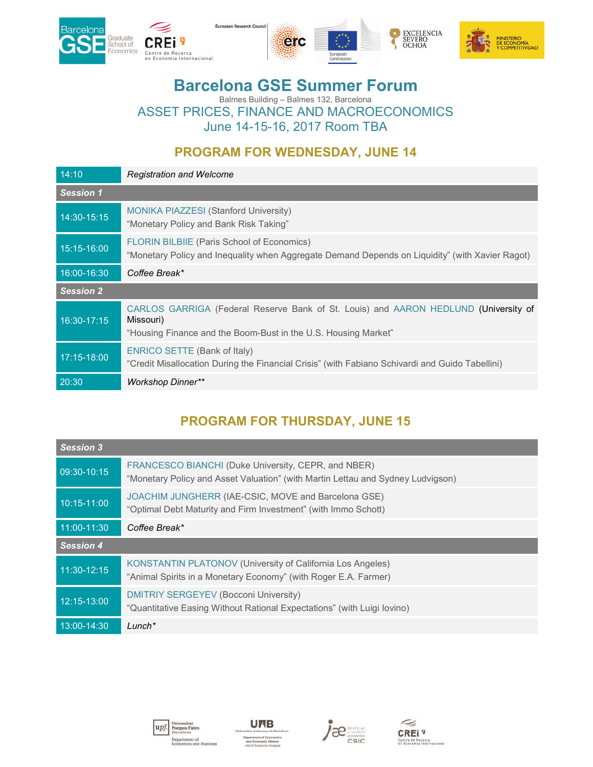





# **Barcelona GSE Summer Forum**

Balmes Building – Balmes 132, Barcelona ASSET PRICES, FINANCE AND MACROECONOMICS June 14-15-16, 2017 Room TBA

#### **PROGRAM FOR WEDNESDAY, JUNE 14**

| 14:10            | <b>Registration and Welcome</b>                                                                                                                                    |
|------------------|--------------------------------------------------------------------------------------------------------------------------------------------------------------------|
| <b>Session 1</b> |                                                                                                                                                                    |
| 14:30-15:15      | <b>MONIKA PIAZZESI (Stanford University)</b><br>"Monetary Policy and Bank Risk Taking"                                                                             |
| 15:15-16:00      | FLORIN BILBIIE (Paris School of Economics)<br>"Monetary Policy and Inequality when Aggregate Demand Depends on Liquidity" (with Xavier Ragot)                      |
| 16:00-16:30      | Coffee Break*                                                                                                                                                      |
| <b>Session 2</b> |                                                                                                                                                                    |
| 16:30-17:15      | CARLOS GARRIGA (Federal Reserve Bank of St. Louis) and AARON HEDLUND (University of<br>Missouri)<br>"Housing Finance and the Boom-Bust in the U.S. Housing Market" |
| 17:15-18:00      | <b>ENRICO SETTE (Bank of Italy)</b><br>"Credit Misallocation During the Financial Crisis" (with Fabiano Schivardi and Guido Tabellini)                             |
| 20:30            | <b>Workshop Dinner**</b>                                                                                                                                           |

## **PROGRAM FOR THURSDAY, JUNE 15**

| <b>Session 3</b> |                                                                                                                                        |
|------------------|----------------------------------------------------------------------------------------------------------------------------------------|
| 09:30-10:15      | FRANCESCO BIANCHI (Duke University, CEPR, and NBER)<br>"Monetary Policy and Asset Valuation" (with Martin Lettau and Sydney Ludvigson) |
| 10:15-11:00      | JOACHIM JUNGHERR (IAE-CSIC, MOVE and Barcelona GSE)<br>"Optimal Debt Maturity and Firm Investment" (with Immo Schott)                  |
| 11:00-11:30      | Coffee Break*                                                                                                                          |
| <b>Session 4</b> |                                                                                                                                        |
|                  |                                                                                                                                        |
| 11:30-12:15      | <b>KONSTANTIN PLATONOV (University of California Los Angeles)</b><br>"Animal Spirits in a Monetary Economy" (with Roger E.A. Farmer)   |
| 12:15-13:00      | <b>DMITRIY SERGEYEV (Bocconi University)</b><br>"Quantitative Easing Without Rational Expectations" (with Luigi lovino)                |